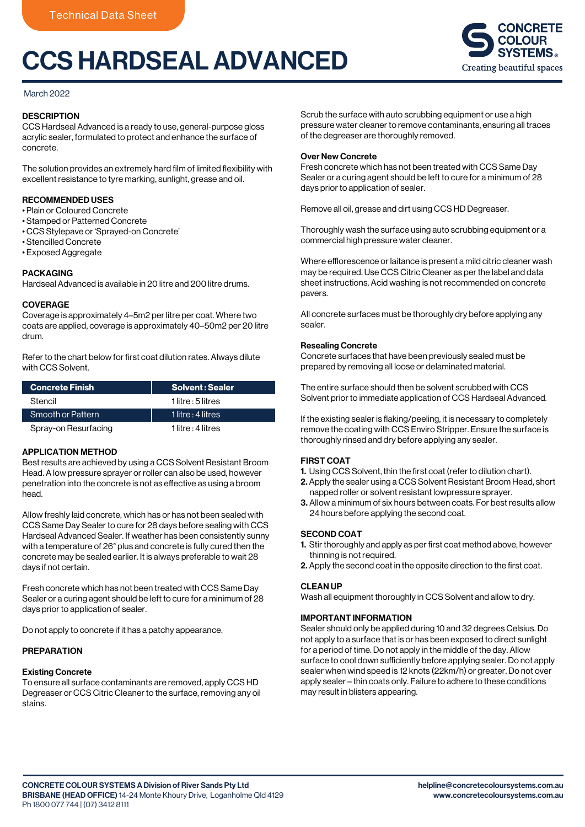# CCS HARDSEAL ADVANCED



## March 2022

## **DESCRIPTION**

CCS Hardseal Advanced is a ready to use, general-purpose gloss acrylic sealer, formulated to protect and enhance the surface of concrete.

The solution provides an extremely hard film of limited flexibility with excellent resistance to tyre marking, sunlight, grease and oil.

## RECOMMENDED USES

- Plain or Coloured Concrete
- Stamped or Patterned Concrete
- CCS Stylepave or 'Sprayed-on Concrete'
- Stencilled Concrete
- Exposed Aggregate

## PACKAGING

Hardseal Advanced is available in 20 litre and 200 litre drums.

#### **COVERAGE**

Coverage is approximately 4–5m2 per litre per coat. Where two coats are applied, coverage is approximately 40–50m2 per 20 litre drum.

Refer to the chart below for first coat dilution rates. Always dilute with CCS Solvent.

| <b>Concrete Finish</b> | <b>Solvent: Sealer</b> |
|------------------------|------------------------|
| Stencil                | $1$ litre : 5 litres   |
| Smooth or Pattern      | 11 litre : 4 litres    |
| Spray-on Resurfacing   | 1 litre : 4 litres     |

#### APPLICATION METHOD

Best results are achieved by using a CCS Solvent Resistant Broom Head. A low pressure sprayer or roller can also be used, however penetration into the concrete is not as effective as using a broom head.

Allow freshly laid concrete, which has or has not been sealed with CCS Same Day Sealer to cure for 28 days before sealing with CCS Hardseal Advanced Sealer. If weather has been consistently sunny with a temperature of 26° plus and concrete is fully cured then the concrete may be sealed earlier. It is always preferable to wait 28 days if not certain.

Fresh concrete which has not been treated with CCS Same Day Sealer or a curing agent should be left to cure for a minimum of 28 days prior to application of sealer.

Do not apply to concrete if it has a patchy appearance.

#### PREPARATION

#### Existing Concrete

To ensure all surface contaminants are removed, apply CCS HD Degreaser or CCS Citric Cleaner to the surface, removing any oil stains.

Scrub the surface with auto scrubbing equipment or use a high pressure water cleaner to remove contaminants, ensuring all traces of the degreaser are thoroughly removed.

#### Over New Concrete

Fresh concrete which has not been treated with CCS Same Day Sealer or a curing agent should be left to cure for a minimum of 28 days prior to application of sealer.

Remove all oil, grease and dirt using CCS HD Degreaser.

Thoroughly wash the surface using auto scrubbing equipment or a commercial high pressure water cleaner.

Where efflorescence or laitance is present a mild citric cleaner wash may be required. Use CCS Citric Cleaner as per the label and data sheet instructions. Acid washing is not recommended on concrete pavers.

All concrete surfaces must be thoroughly dry before applying any sealer.

## Resealing Concrete

Concrete surfaces that have been previously sealed must be prepared by removing all loose or delaminated material.

The entire surface should then be solvent scrubbed with CCS Solvent prior to immediate application of CCS Hardseal Advanced.

If the existing sealer is flaking/peeling, it is necessary to completely remove the coating with CCS Enviro Stripper. Ensure the surface is thoroughly rinsed and dry before applying any sealer.

#### FIRST COAT

- 1. Using CCS Solvent, thin the first coat (refer to dilution chart).
- 2. Apply the sealer using a CCS Solvent Resistant Broom Head, short napped roller or solvent resistant lowpressure sprayer.
- 3. Allow a minimum of six hours between coats. For best results allow 24 hours before applying the second coat.

#### SECOND COAT

- 1. Stir thoroughly and apply as per first coat method above, however thinning is not required.
- 2. Apply the second coat in the opposite direction to the first coat.

#### CLEAN UP

Wash all equipment thoroughly in CCS Solvent and allow to dry.

## IMPORTANT INFORMATION

Sealer should only be applied during 10 and 32 degrees Celsius. Do not apply to a surface that is or has been exposed to direct sunlight for a period of time. Do not apply in the middle of the day. Allow surface to cool down sufficiently before applying sealer. Do not apply sealer when wind speed is 12 knots (22km/h) or greater. Do not over apply sealer – thin coats only. Failure to adhere to these conditions may result in blisters appearing.